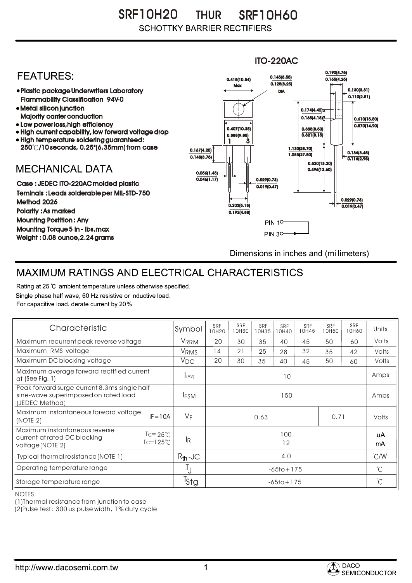SR F10H20 SRF10H60 THUR **SCHOTTKY BARRIER RECTIFIERS** 

## ITO-220AC0.190(4.75) **FEATURES:** 0.145(3.55) 0.415(10.54) 0.165(4.25)  $Max \overline{0.128(3.25)}$ 0.130(3.31) Plastic package Underwriters Laboratory DIA  $\overline{0.110(2.81)}$ Flammability Classification 94V-0 Metal silicon junction  $0.174(4.42)$ Majority carrier conduction  $0.165(4.18)$ 0.610(15.50) • Low power loss, high efficiency  $0.570(14.90)$ 0.407(10.35) 0.335(8.50) High current capability, low forward voltage drop  $0.321(8.15)$ 0.388(9.85) High temperature soldering guaranteed: 1 3 250 /10 seconds, 0.25"(6.35mm) from case 0.167(4.25) 1.130(28.70) 0.136(3.45)  $0.148(3.75)$ 1.083(27.50) 0.116(2.95) 0.520(13.20) **MECHANICAL DATA**  $0.496(12.60)$ 0.056(1.43)  $\overline{0.046(1.17)}$   $\overline{ }$   $\parallel$   $\parallel$   $\parallel$  0.029(0.73) Case : JEDEC ITO-220AC molded plastic 0.019(0.47) Teminals : Leads solderable per MIL-STD-750 0.029(0.73) Method 2026  $0.202(5.13)$   $\rightarrow$   $\mid$   $\leftarrow$   $\frac{}{0.019(0.47)}$ Polarity : As marked 0.192(4.88) Mounting Postition : Any **PIN 10** Mounting Torque 5 in - lbs.max **PIN 30-**Weight : 0.08 ounce,2.24 grams Dimensions in inches and (millimeters)

## MAXIMUM RATINGS AND ELECTRICAL CHARACTERISTICS

Rating at 25 °C ambient temperature unless otherwise specified. Single phase half wave, 60 Hz resistive or inductive load. For capacitive load, derate current by 20%.

| Characteristic                                                                                                                       | Symbol           | <b>SRF</b><br>10H20 | <b>SRF</b><br>10H30 | SRF<br>10H35 | <b>SRF</b><br>10H40 | <b>SRF</b><br>10H45 | <b>SRF</b><br>10H50 | SRF<br>10H60 | Units         |
|--------------------------------------------------------------------------------------------------------------------------------------|------------------|---------------------|---------------------|--------------|---------------------|---------------------|---------------------|--------------|---------------|
| Maximum recurrent peak reverse voltage                                                                                               | VRRM             | 20                  | 30                  | 35           | 40                  | 45                  | 50                  | 60           | Volts         |
| Maximum RMS voltage                                                                                                                  | VRMS             | 14                  | 21                  | 25           | 28                  | 32                  | 35                  | 42           | Volts         |
| Maximum DC blocking voltage                                                                                                          | $V_{DC}$         | 20                  | 30                  | 35           | 40                  | 45                  | 50                  | 60           | Volts         |
| Maximum average forward rectified current<br>at (See Fig. $1$ )                                                                      | I(AV)            | 10                  |                     |              |                     |                     |                     |              | Amps          |
| Peak forward surge current 8.3ms single half<br>sine-wave superimposed on rated load<br>(JEDEC Method)                               | <b>IFSM</b>      | 150                 |                     |              |                     |                     |                     |              | Amps          |
| Maximum instantaneous forward voltage<br>$IF = 10A$<br>(NOTE 2)                                                                      | $V_F$            | 0.71<br>0.63        |                     |              |                     |                     |                     | Volts        |               |
| Maximum instantaneous reverse<br>$\text{I} = 25^{\circ}$ C<br>current at rated DC blocking<br>$Tc=125^{\circ}$ C<br>voltage (NOTE 2) | lR.              | 100<br>12           |                     |              |                     |                     |                     | uA<br>mA     |               |
| Typical thermal resistance (NOTE 1)                                                                                                  | $R_{th}$ -JC     | 4.0                 |                     |              |                     |                     |                     |              | $\degree$ C/W |
| Operating temperature range                                                                                                          | Ţ                | $-65$ to + 175      |                     |              |                     |                     |                     |              | $^{\circ}$ C  |
| Storage temperature range                                                                                                            | <sup>I</sup> Stg | $-65$ to + 175      |                     |              |                     |                     |                     |              | $^{\circ}$ C  |

NOTES:

(1)Thermal resistance from junction to case

(2)Pulse test : 300 us pulse width, 1% duty cycle